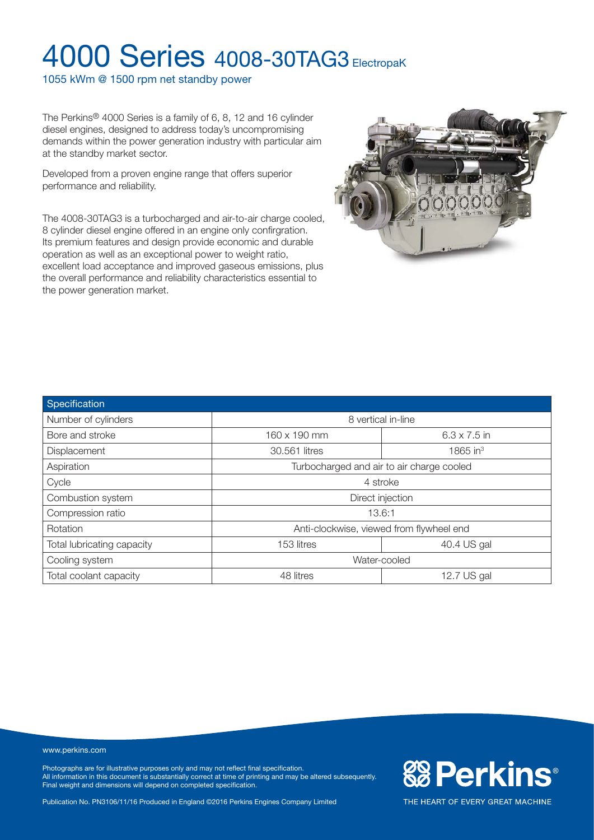1055 kWm @ 1500 rpm net standby power

The Perkins® 4000 Series is a family of 6, 8, 12 and 16 cylinder diesel engines, designed to address today's uncompromising demands within the power generation industry with particular aim at the standby market sector.

Developed from a proven engine range that offers superior performance and reliability.

The 4008-30TAG3 is a turbocharged and air-to-air charge cooled, 8 cylinder diesel engine offered in an engine only confirgration. Its premium features and design provide economic and durable operation as well as an exceptional power to weight ratio, excellent load acceptance and improved gaseous emissions, plus the overall performance and reliability characteristics essential to the power generation market.



| Specification              |                                           |                     |  |
|----------------------------|-------------------------------------------|---------------------|--|
| Number of cylinders        | 8 vertical in-line                        |                     |  |
| Bore and stroke            | 160 x 190 mm                              | $6.3 \times 7.5$ in |  |
| <b>Displacement</b>        | 30.561 litres                             | 1865 in $3$         |  |
| Aspiration                 | Turbocharged and air to air charge cooled |                     |  |
| Cycle                      | 4 stroke                                  |                     |  |
| Combustion system          | Direct injection                          |                     |  |
| Compression ratio          | 13.6:1                                    |                     |  |
| Rotation                   | Anti-clockwise, viewed from flywheel end  |                     |  |
| Total lubricating capacity | 153 litres                                | 40.4 US gal         |  |
| Cooling system             | Water-cooled                              |                     |  |
| Total coolant capacity     | 48 litres                                 | 12.7 US gal         |  |

#### www.perkins.com

Photographs are for illustrative purposes only and may not reflect final specification. All information in this document is substantially correct at time of printing and may be altered subsequently. Final weight and dimensions will depend on completed specification.

Publication No. PN3106/11/16 Produced in England ©2016 Perkins Engines Company Limited

**&BPerkins®**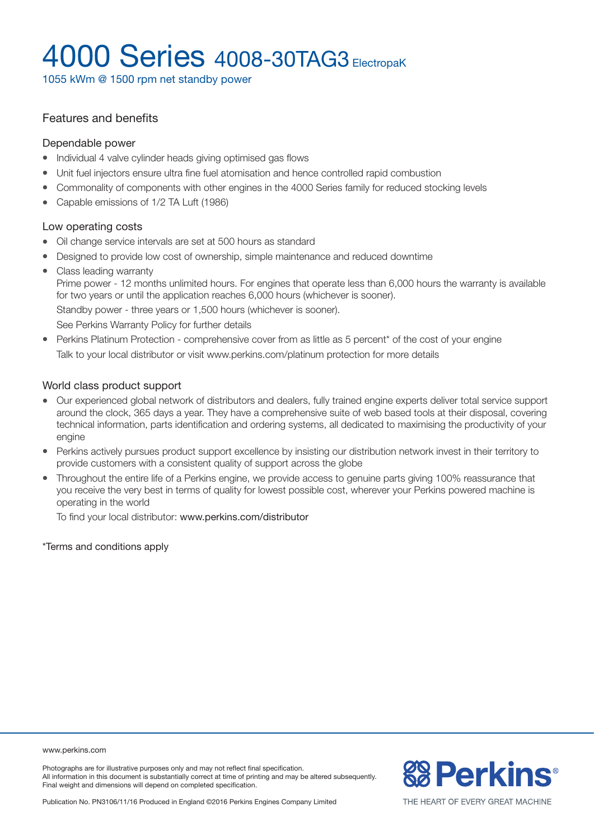1055 kWm @ 1500 rpm net standby power

### Features and benefits

#### Dependable power

- Individual 4 valve cylinder heads giving optimised gas flows
- Unit fuel injectors ensure ultra fine fuel atomisation and hence controlled rapid combustion
- Commonality of components with other engines in the 4000 Series family for reduced stocking levels
- Capable emissions of 1/2 TA Luft (1986)

#### Low operating costs

- Oil change service intervals are set at 500 hours as standard
- Designed to provide low cost of ownership, simple maintenance and reduced downtime
- Class leading warranty

Prime power - 12 months unlimited hours. For engines that operate less than 6,000 hours the warranty is available for two years or until the application reaches 6,000 hours (whichever is sooner).

Standby power - three years or 1,500 hours (whichever is sooner).

See Perkins Warranty Policy for further details

• Perkins Platinum Protection - comprehensive cover from as little as 5 percent\* of the cost of your engine Talk to your local distributor or visit www.perkins.com/platinum protection for more details

#### World class product support

- Our experienced global network of distributors and dealers, fully trained engine experts deliver total service support around the clock, 365 days a year. They have a comprehensive suite of web based tools at their disposal, covering technical information, parts identification and ordering systems, all dedicated to maximising the productivity of your engine
- Perkins actively pursues product support excellence by insisting our distribution network invest in their territory to provide customers with a consistent quality of support across the globe
- Throughout the entire life of a Perkins engine, we provide access to genuine parts giving 100% reassurance that you receive the very best in terms of quality for lowest possible cost, wherever your Perkins powered machine is operating in the world

To find your local distributor: www.perkins.com/distributor

\*Terms and conditions apply

www.perkins.com

Photographs are for illustrative purposes only and may not reflect final specification. All information in this document is substantially correct at time of printing and may be altered subsequently. Final weight and dimensions will depend on completed specification.

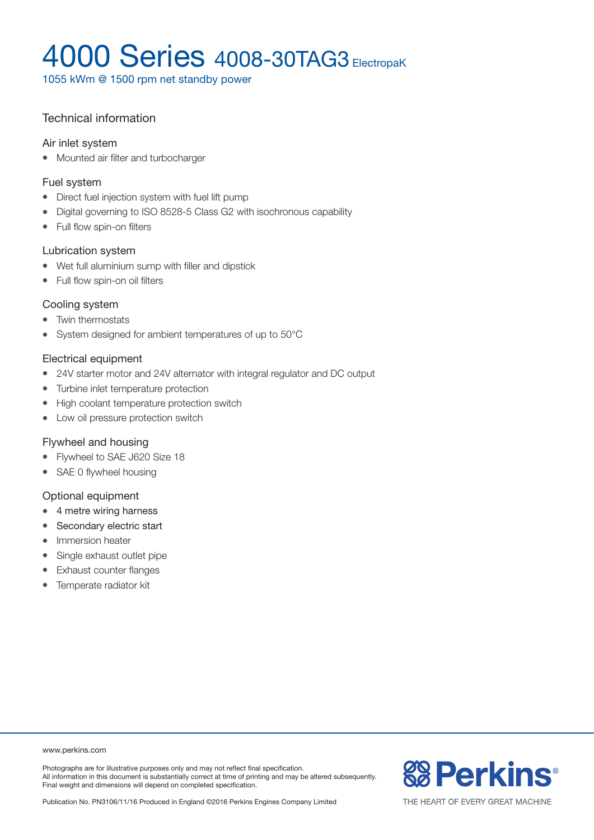1055 kWm @ 1500 rpm net standby power

### Technical information

#### Air inlet system

• Mounted air filter and turbocharger

#### Fuel system

- Direct fuel injection system with fuel lift pump
- Digital governing to ISO 8528-5 Class G2 with isochronous capability
- Full flow spin-on filters

#### Lubrication system

- Wet full aluminium sump with filler and dipstick
- Full flow spin-on oil filters

#### Cooling system

- Twin thermostats
- System designed for ambient temperatures of up to 50°C

#### Electrical equipment

- 24V starter motor and 24V alternator with integral regulator and DC output
- Turbine inlet temperature protection
- High coolant temperature protection switch
- Low oil pressure protection switch

#### Flywheel and housing

- Flywheel to SAE J620 Size 18
- SAE 0 flywheel housing

#### Optional equipment

- $\bullet$  4 metre wiring harness
- Secondary electric start
- Immersion heater
- Single exhaust outlet pipe
- Exhaust counter flanges
- Temperate radiator kit

#### www.perkins.com

Photographs are for illustrative purposes only and may not reflect final specification. All information in this document is substantially correct at time of printing and may be altered subsequently. Final weight and dimensions will depend on completed specification.

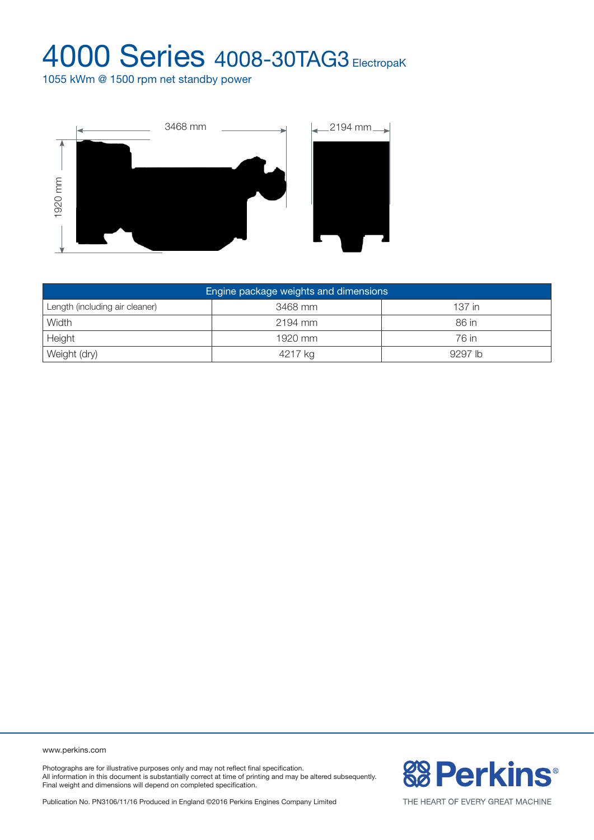1055 kWm @ 1500 rpm net standby power



| 1920 mm                               |         |         |  |  |  |
|---------------------------------------|---------|---------|--|--|--|
| Engine package weights and dimensions |         |         |  |  |  |
| Length (including air cleaner)        | 3468 mm | 137 in  |  |  |  |
| Width                                 | 2194 mm | 86 in   |  |  |  |
| Height                                | 1920 mm | 76 in   |  |  |  |
| Weight (dry)                          | 4217 kg | 9297 lb |  |  |  |

www.perkins.com

Photographs are for illustrative purposes only and may not reflect final specification. All information in this document is substantially correct at time of printing and may be altered subsequently. Final weight and dimensions will depend on completed specification.

Publication No. PN3106/11/16 Produced in England ©2016 Perkins Engines Company Limited

**&B Perkins®**